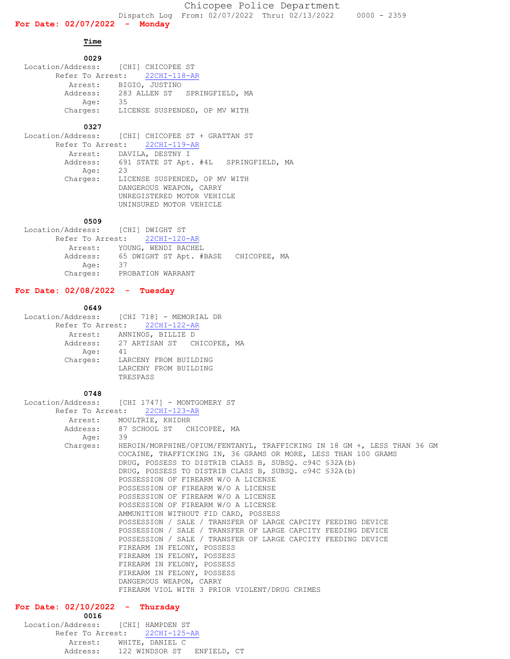#### **Time**

| 0029                                |                                       |
|-------------------------------------|---------------------------------------|
| Location/Address: [CHI] CHICOPEE ST |                                       |
|                                     | Refer To Arrest: 22CHI-118-AR         |
| Arrest:                             | BIGIO, JUSTINO                        |
|                                     | Address: 283 ALLEN ST SPRINGFIELD, MA |
| Age:                                | 35                                    |
| Charges:                            | LICENSE SUSPENDED, OP MV WITH         |

#### **0327**

 Location/Address: [CHI] CHICOPEE ST + GRATTAN ST Refer To Arrest: 22CHI-119-AR Arrest: DAVILA, DESTNY I Address: 691 STATE ST Apt. #4L SPRINGFIELD, MA Age: 23 Charges: LICENSE SUSPENDED, OP MV WITH DANGEROUS WEAPON, CARRY UNREGISTERED MOTOR VEHICLE UNINSURED MOTOR VEHICLE

### **0509**

| Location/Address: [CHI] DWIGHT ST             |                   |  |  |  |
|-----------------------------------------------|-------------------|--|--|--|
| Refer To Arrest: 22CHI-120-AR                 |                   |  |  |  |
| Arrest: YOUNG, WENDI RACHEL                   |                   |  |  |  |
| Address: 65 DWIGHT ST Apt. #BASE CHICOPEE, MA |                   |  |  |  |
| Age:                                          | 37                |  |  |  |
| Charges:                                      | PROBATION WARRANT |  |  |  |
|                                               |                   |  |  |  |

# **For Date: 02/08/2022 - Tuesday**

| 0649     |                                           |
|----------|-------------------------------------------|
|          | Location/Address: [CHI 718] - MEMORIAL DR |
|          | Refer To Arrest: 22CHI-122-AR             |
|          | Arrest: ANNINOS, BILLIE D                 |
|          | Address: 27 ARTISAN ST CHICOPEE, MA       |
| Age:     | 41                                        |
| Charges: | LARCENY FROM BUILDING                     |
|          | LARCENY FROM BUILDING                     |
|          | TRESPASS                                  |

#### **0748**

|                          | Location/Address: [CHI 1747] - MONTGOMERY ST                                                                                                                                                                                                                                                                                                                                                                                                                                                                                                                                                                                                                                                                                                                |  |  |  |
|--------------------------|-------------------------------------------------------------------------------------------------------------------------------------------------------------------------------------------------------------------------------------------------------------------------------------------------------------------------------------------------------------------------------------------------------------------------------------------------------------------------------------------------------------------------------------------------------------------------------------------------------------------------------------------------------------------------------------------------------------------------------------------------------------|--|--|--|
|                          | Refer To Arrest: 22CHI-123-AR                                                                                                                                                                                                                                                                                                                                                                                                                                                                                                                                                                                                                                                                                                                               |  |  |  |
| Arrest: MOULTRIE, KHIDHR |                                                                                                                                                                                                                                                                                                                                                                                                                                                                                                                                                                                                                                                                                                                                                             |  |  |  |
|                          | Address: 87 SCHOOL ST CHICOPEE, MA                                                                                                                                                                                                                                                                                                                                                                                                                                                                                                                                                                                                                                                                                                                          |  |  |  |
| Age:                     | 39                                                                                                                                                                                                                                                                                                                                                                                                                                                                                                                                                                                                                                                                                                                                                          |  |  |  |
| Charges:                 | HEROIN/MORPHINE/OPIUM/FENTANYL, TRAFFICKING IN 18 GM +, LESS THAN 36 GM<br>COCAINE, TRAFFICKING IN, 36 GRAMS OR MORE, LESS THAN 100 GRAMS<br>DRUG, POSSESS TO DISTRIB CLASS B, SUBSQ. c94C \$32A(b)<br>DRUG, POSSESS TO DISTRIB CLASS B, SUBSQ. c94C \$32A(b)<br>POSSESSION OF FIREARM W/O A LICENSE<br>POSSESSION OF FIREARM W/O A LICENSE<br>POSSESSION OF FIREARM W/O A LICENSE<br>POSSESSION OF FIREARM W/O A LICENSE<br>AMMUNITION WITHOUT FID CARD, POSSESS<br>POSSESSION / SALE / TRANSFER OF LARGE CAPCITY FEEDING DEVICE<br>POSSESSION / SALE / TRANSFER OF LARGE CAPCITY FEEDING DEVICE<br>POSSESSION / SALE / TRANSFER OF LARGE CAPCITY FEEDING DEVICE<br>FIREARM IN FELONY, POSSESS<br>FIREARM IN FELONY, POSSESS<br>FIREARM IN FELONY, POSSESS |  |  |  |
|                          | FIREARM IN FELONY, POSSESS                                                                                                                                                                                                                                                                                                                                                                                                                                                                                                                                                                                                                                                                                                                                  |  |  |  |
|                          | DANGEROUS WEAPON, CARRY                                                                                                                                                                                                                                                                                                                                                                                                                                                                                                                                                                                                                                                                                                                                     |  |  |  |
|                          | FIREARM VIOL WITH 3 PRIOR VIOLENT/DRUG CRIMES                                                                                                                                                                                                                                                                                                                                                                                                                                                                                                                                                                                                                                                                                                               |  |  |  |

## **For Date: 02/10/2022 - Thursday**

| 0016                               |             |  |
|------------------------------------|-------------|--|
| Location/Address: [CHI] HAMPDEN ST |             |  |
| Refer To Arrest: 22CHI-125-AR      |             |  |
| WHITE, DANIEL C<br>Arrest:         |             |  |
| Address:<br>122 WINDSOR ST         | ENFIELD, CT |  |
|                                    |             |  |